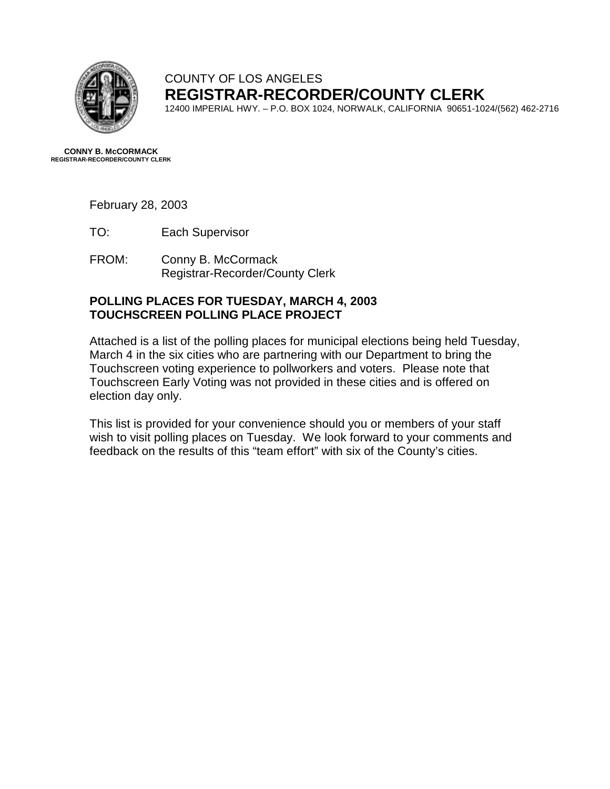

## COUNTY OF LOS ANGELES **REGISTRAR-RECORDER/COUNTY CLERK**

12400 IMPERIAL HWY. – P.O. BOX 1024, NORWALK, CALIFORNIA 90651-1024/(562) 462-2716

**CONNY B. McCORMACK REGISTRAR-RECORDER/COUNTY CLERK** 

February 28, 2003

- TO: Each Supervisor
- FROM: Conny B. McCormack Registrar-Recorder/County Clerk

#### **POLLING PLACES FOR TUESDAY, MARCH 4, 2003 TOUCHSCREEN POLLING PLACE PROJECT**

Attached is a list of the polling places for municipal elections being held Tuesday, March 4 in the six cities who are partnering with our Department to bring the Touchscreen voting experience to pollworkers and voters. Please note that Touchscreen Early Voting was not provided in these cities and is offered on election day only.

This list is provided for your convenience should you or members of your staff wish to visit polling places on Tuesday. We look forward to your comments and feedback on the results of this "team effort" with six of the County's cities.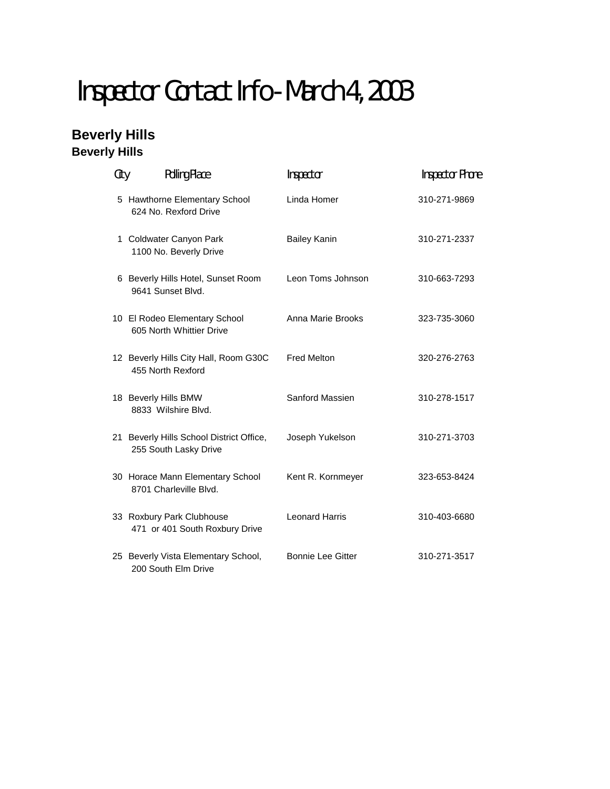# Inspector Contact Info - March 4, 2003

## **Beverly Hills Beverly Hills**

| City | <b>Polling Place</b>                                              | Inspector                | <b>Inspector Phone</b> |
|------|-------------------------------------------------------------------|--------------------------|------------------------|
|      | 5 Hawthorne Elementary School<br>624 No. Rexford Drive            | Linda Homer              | 310-271-9869           |
|      | 1 Coldwater Canyon Park<br>1100 No. Beverly Drive                 | <b>Bailey Kanin</b>      | 310-271-2337           |
|      | 6 Beverly Hills Hotel, Sunset Room<br>9641 Sunset Blvd.           | Leon Toms Johnson        | 310-663-7293           |
|      | 10 El Rodeo Elementary School<br>605 North Whittier Drive         | Anna Marie Brooks        | 323-735-3060           |
|      | 12 Beverly Hills City Hall, Room G30C<br>455 North Rexford        | <b>Fred Melton</b>       | 320-276-2763           |
|      | 18 Beverly Hills BMW<br>8833 Wilshire Blvd.                       | Sanford Massien          | 310-278-1517           |
|      | 21 Beverly Hills School District Office,<br>255 South Lasky Drive | Joseph Yukelson          | 310-271-3703           |
|      | 30 Horace Mann Elementary School<br>8701 Charleville Blvd.        | Kent R. Kornmeyer        | 323-653-8424           |
|      | 33 Roxbury Park Clubhouse<br>471 or 401 South Roxbury Drive       | <b>Leonard Harris</b>    | 310-403-6680           |
|      | 25 Beverly Vista Elementary School,<br>200 South Elm Drive        | <b>Bonnie Lee Gitter</b> | 310-271-3517           |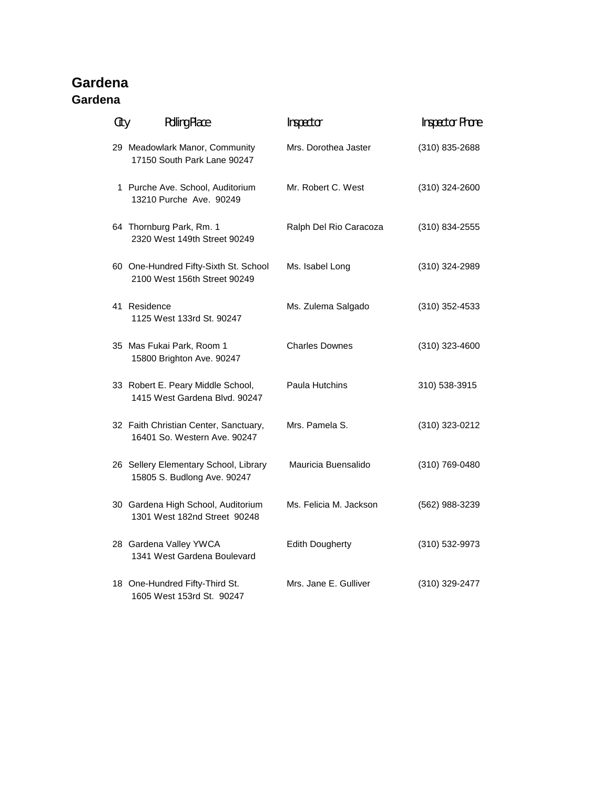## **Gardena Gardena**

| City | <b>Polling Place</b>                                                  | Inspector              | <b>Inspector Phone</b> |
|------|-----------------------------------------------------------------------|------------------------|------------------------|
|      | 29 Meadowlark Manor, Community<br>17150 South Park Lane 90247         | Mrs. Dorothea Jaster   | (310) 835-2688         |
|      | 1 Purche Ave. School, Auditorium<br>13210 Purche Ave. 90249           | Mr. Robert C. West     | (310) 324-2600         |
|      | 64 Thornburg Park, Rm. 1<br>2320 West 149th Street 90249              | Ralph Del Rio Caracoza | (310) 834-2555         |
|      | 60 One-Hundred Fifty-Sixth St. School<br>2100 West 156th Street 90249 | Ms. Isabel Long        | (310) 324-2989         |
|      | 41 Residence<br>1125 West 133rd St. 90247                             | Ms. Zulema Salgado     | (310) 352-4533         |
|      | 35 Mas Fukai Park, Room 1<br>15800 Brighton Ave. 90247                | <b>Charles Downes</b>  | (310) 323-4600         |
|      | 33 Robert E. Peary Middle School,<br>1415 West Gardena Blvd. 90247    | Paula Hutchins         | 310) 538-3915          |
|      | 32 Faith Christian Center, Sanctuary,<br>16401 So. Western Ave. 90247 | Mrs. Pamela S.         | (310) 323-0212         |
|      | 26 Sellery Elementary School, Library<br>15805 S. Budlong Ave. 90247  | Mauricia Buensalido    | (310) 769-0480         |
|      | 30 Gardena High School, Auditorium<br>1301 West 182nd Street 90248    | Ms. Felicia M. Jackson | (562) 988-3239         |
|      | 28 Gardena Valley YWCA<br>1341 West Gardena Boulevard                 | <b>Edith Dougherty</b> | (310) 532-9973         |
|      | 18 One-Hundred Fifty-Third St.                                        | Mrs. Jane E. Gulliver  | (310) 329-2477         |

1605 West 153rd St. 90247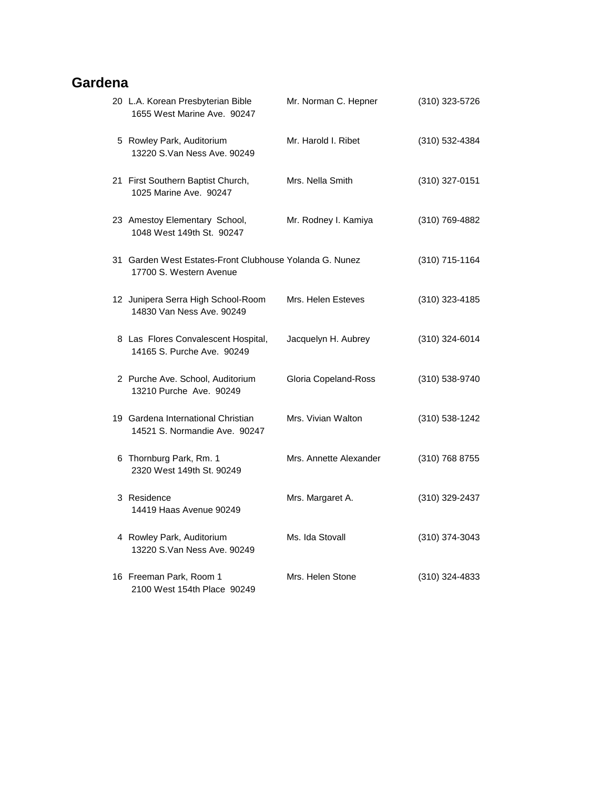## **Gardena**

| 20 L.A. Korean Presbyterian Bible<br>1655 West Marine Ave. 90247                   | Mr. Norman C. Hepner   | (310) 323-5726   |
|------------------------------------------------------------------------------------|------------------------|------------------|
| 5 Rowley Park, Auditorium<br>13220 S.Van Ness Ave. 90249                           | Mr. Harold I. Ribet    | (310) 532-4384   |
| 21 First Southern Baptist Church,<br>1025 Marine Ave. 90247                        | Mrs. Nella Smith       | (310) 327-0151   |
| 23 Amestoy Elementary School,<br>1048 West 149th St. 90247                         | Mr. Rodney I. Kamiya   | (310) 769-4882   |
| 31 Garden West Estates-Front Clubhouse Yolanda G. Nunez<br>17700 S. Western Avenue |                        | (310) 715-1164   |
| 12 Junipera Serra High School-Room<br>14830 Van Ness Ave, 90249                    | Mrs. Helen Esteves     | (310) 323-4185   |
| 8 Las Flores Convalescent Hospital,<br>14165 S. Purche Ave. 90249                  | Jacquelyn H. Aubrey    | (310) 324-6014   |
| 2 Purche Ave. School, Auditorium<br>13210 Purche Ave. 90249                        | Gloria Copeland-Ross   | (310) 538-9740   |
| 19 Gardena International Christian<br>14521 S. Normandie Ave. 90247                | Mrs. Vivian Walton     | $(310)$ 538-1242 |
| 6 Thornburg Park, Rm. 1<br>2320 West 149th St. 90249                               | Mrs. Annette Alexander | (310) 768 8755   |
| 3 Residence<br>14419 Haas Avenue 90249                                             | Mrs. Margaret A.       | (310) 329-2437   |
| 4 Rowley Park, Auditorium<br>13220 S.Van Ness Ave. 90249                           | Ms. Ida Stovall        | (310) 374-3043   |
| 16 Freeman Park, Room 1<br>2100 West 154th Place 90249                             | Mrs. Helen Stone       | (310) 324-4833   |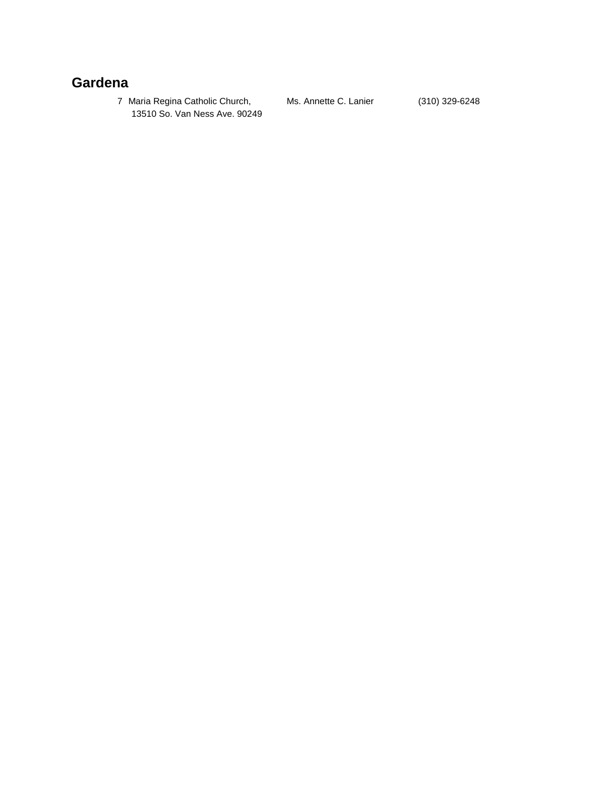## **Gardena**

7 Maria Regina Catholic Church, Ms. Annette C. Lanier (310) 329-6248 13510 So. Van Ness Ave. 90249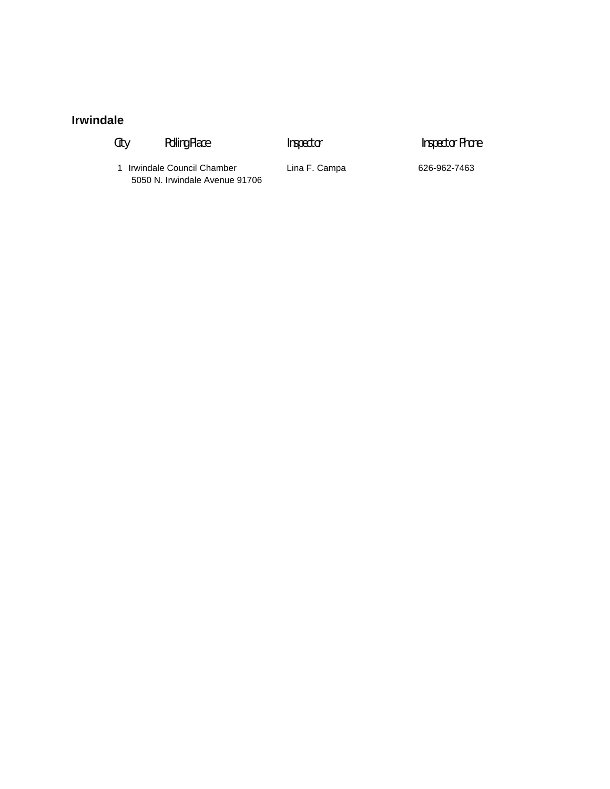## **Irwindale**

- 
- City Polling Place **Inspector** Inspector **Inspector** Phone

1 Irwindale Council Chamber Lina F. Campa 626-962-7463 5050 N. Irwindale Avenue 91706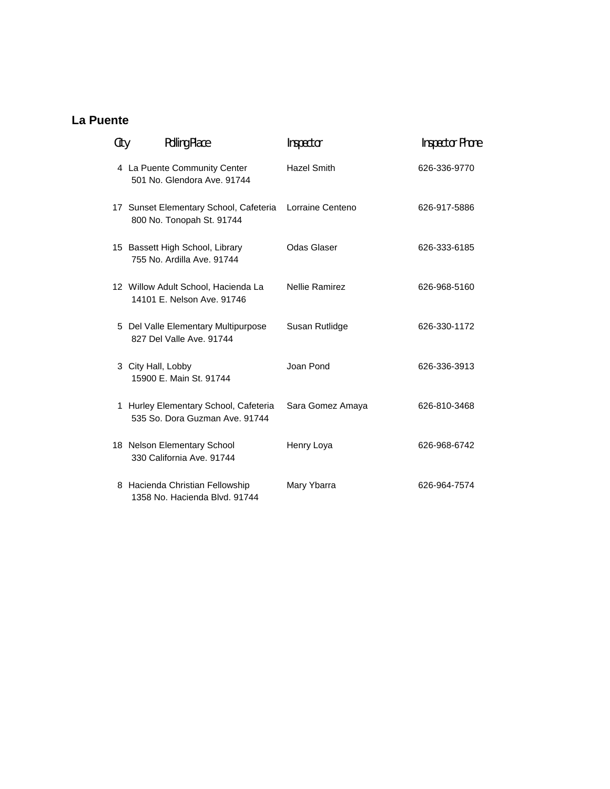## **La Puente**

| City | <b>Polling Place</b>                                                                 | Inspector             | <b>Inspector Phone</b> |
|------|--------------------------------------------------------------------------------------|-----------------------|------------------------|
|      | 4 La Puente Community Center<br>501 No. Glendora Ave. 91744                          | <b>Hazel Smith</b>    | 626-336-9770           |
|      | 17 Sunset Elementary School, Cafeteria Lorraine Centeno<br>800 No. Tonopah St. 91744 |                       | 626-917-5886           |
|      | 15 Bassett High School, Library<br>755 No. Ardilla Ave. 91744                        | Odas Glaser           | 626-333-6185           |
|      | 12 Willow Adult School, Hacienda La<br>14101 E. Nelson Ave. 91746                    | <b>Nellie Ramirez</b> | 626-968-5160           |
|      | 5 Del Valle Elementary Multipurpose<br>827 Del Valle Ave. 91744                      | Susan Rutlidge        | 626-330-1172           |
|      | 3 City Hall, Lobby<br>15900 E. Main St. 91744                                        | Joan Pond             | 626-336-3913           |
|      | 1 Hurley Elementary School, Cafeteria<br>535 So. Dora Guzman Ave. 91744              | Sara Gomez Amaya      | 626-810-3468           |
|      | 18 Nelson Elementary School<br>330 California Ave. 91744                             | Henry Loya            | 626-968-6742           |
|      | 8 Hacienda Christian Fellowship<br>1358 No. Hacienda Blvd. 91744                     | Mary Ybarra           | 626-964-7574           |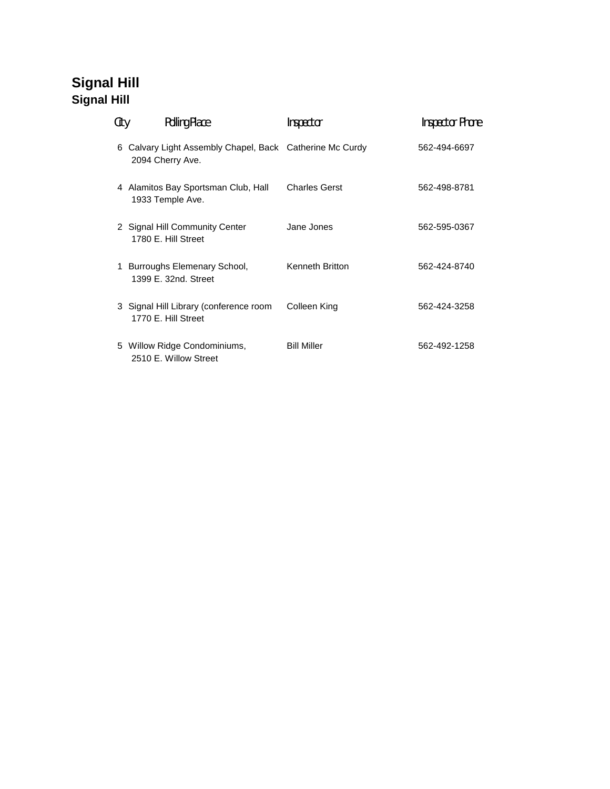# **Signal Hill Signal Hill**

| City | <b>Polling Place</b>                                                       | Inspector            | <b>Inspector Phone</b> |
|------|----------------------------------------------------------------------------|----------------------|------------------------|
| 6.   | Calvary Light Assembly Chapel, Back Catherine Mc Curdy<br>2094 Cherry Ave. |                      | 562-494-6697           |
|      | 4 Alamitos Bay Sportsman Club, Hall<br>1933 Temple Ave.                    | <b>Charles Gerst</b> | 562-498-8781           |
|      | 2 Signal Hill Community Center<br>1780 E. Hill Street                      | Jane Jones           | 562-595-0367           |
|      | 1 Burroughs Elemenary School,<br>1399 E. 32nd. Street                      | Kenneth Britton      | 562-424-8740           |
|      | 3 Signal Hill Library (conference room<br>1770 E. Hill Street              | Colleen King         | 562-424-3258           |
|      | 5 Willow Ridge Condominiums,<br>2510 E. Willow Street                      | <b>Bill Miller</b>   | 562-492-1258           |